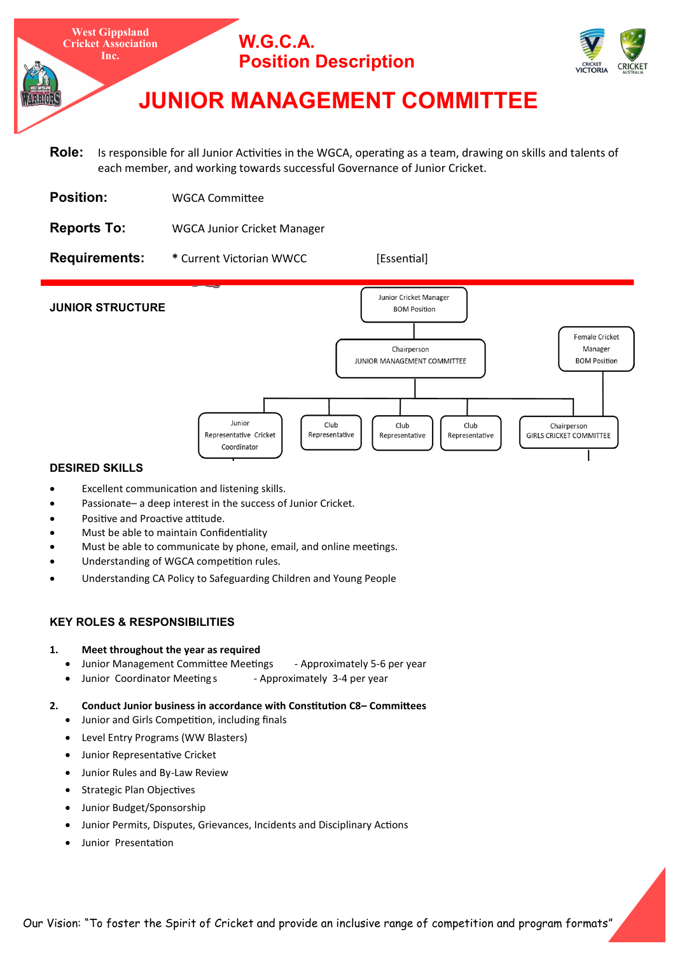

- **Role:** Is responsible for all Junior Activities in the WGCA, operating as a team, drawing on skills and talents of each member, and working towards successful Governance of Junior Cricket.
- **Position:** WGCA Committee
- **Reports To:** WGCA Junior Cricket Manager

**Requirements:** \* Current Victorian WWCC [Essential]



#### **DESIRED SKILLS**

- Excellent communication and listening skills.
- Passionate– a deep interest in the success of Junior Cricket.
- Positive and Proactive attitude.
- Must be able to maintain Confidentiality
- Must be able to communicate by phone, email, and online meetings.
- Understanding of WGCA competition rules.
- Understanding CA Policy to Safeguarding Children and Young People

# **KEY ROLES & RESPONSIBILITIES**

- **1. Meet throughout the year as required**
	- Junior Management Committee Meetings Approximately 5-6 per year
	- Junior Coordinator Meeting s Approximately 3-4 per year
- **2. Conduct Junior business in accordance with Constitution C8– Committees**
	- Junior and Girls Competition, including finals
	- Level Entry Programs (WW Blasters)
	- Junior Representative Cricket
	- Junior Rules and By-Law Review
	- Strategic Plan Objectives
	- Junior Budget/Sponsorship
	- Junior Permits, Disputes, Grievances, Incidents and Disciplinary Actions
	- Junior Presentation